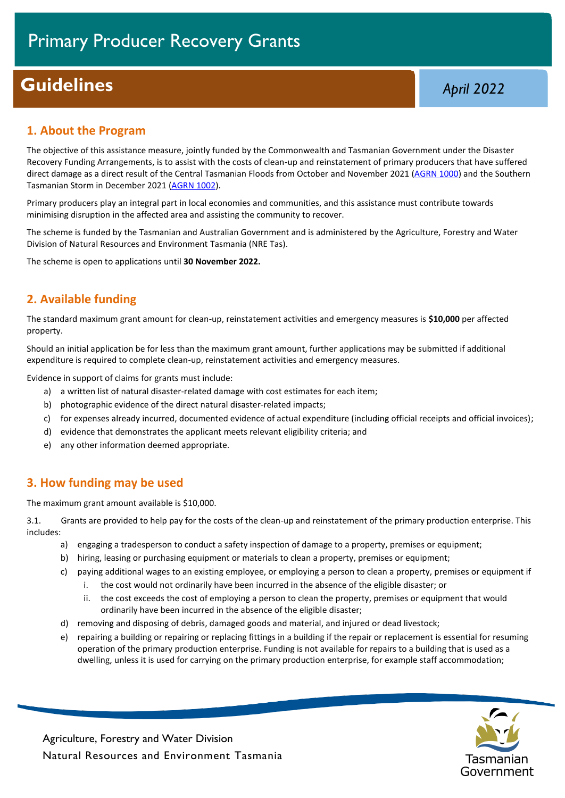# **Guidelines** *April* **2022**

#### **1. About the Program**

The objective of this assistance measure, jointly funded by the Commonwealth and Tasmanian Government under the Disaster Recovery Funding Arrangements, is to assist with the costs of clean-up and reinstatement of primary producers that have suffered direct damage as a direct result of the Central Tasmanian Floods from October and November 2021 [\(AGRN 1000\)](https://www.disasterassist.gov.au/find-a-disaster/australian-disasters) and the Southern Tasmanian Storm in December 2021 [\(AGRN 1002\)](https://www.disasterassist.gov.au/find-a-disaster/australian-disasters).

Primary producers play an integral part in local economies and communities, and this assistance must contribute towards minimising disruption in the affected area and assisting the community to recover.

The scheme is funded by the Tasmanian and Australian Government and is administered by the Agriculture, Forestry and Water Division of Natural Resources and Environment Tasmania (NRE Tas).

The scheme is open to applications until **30 November 2022.**

# **2. Available funding**

The standard maximum grant amount for clean-up, reinstatement activities and emergency measures is **\$10,000** per affected property.

Should an initial application be for less than the maximum grant amount, further applications may be submitted if additional expenditure is required to complete clean-up, reinstatement activities and emergency measures.

Evidence in support of claims for grants must include:

- a) a written list of natural disaster-related damage with cost estimates for each item;
- b) photographic evidence of the direct natural disaster-related impacts;
- c) for expenses already incurred, documented evidence of actual expenditure (including official receipts and official invoices);
- d) evidence that demonstrates the applicant meets relevant eligibility criteria; and
- e) any other information deemed appropriate.

#### **3. How funding may be used**

The maximum grant amount available is \$10,000.

3.1. Grants are provided to help pay for the costs of the clean-up and reinstatement of the primary production enterprise. This includes:

- a) engaging a tradesperson to conduct a safety inspection of damage to a property, premises or equipment;
- b) hiring, leasing or purchasing equipment or materials to clean a property, premises or equipment;
- c) paying additional wages to an existing employee, or employing a person to clean a property, premises or equipment if
	- i. the cost would not ordinarily have been incurred in the absence of the eligible disaster; or
	- ii. the cost exceeds the cost of employing a person to clean the property, premises or equipment that would ordinarily have been incurred in the absence of the eligible disaster;
- d) removing and disposing of debris, damaged goods and material, and injured or dead livestock;
- e) repairing a building or repairing or replacing fittings in a building if the repair or replacement is essential for resuming operation of the primary production enterprise. Funding is not available for repairs to a building that is used as a dwelling, unless it is used for carrying on the primary production enterprise, for example staff accommodation;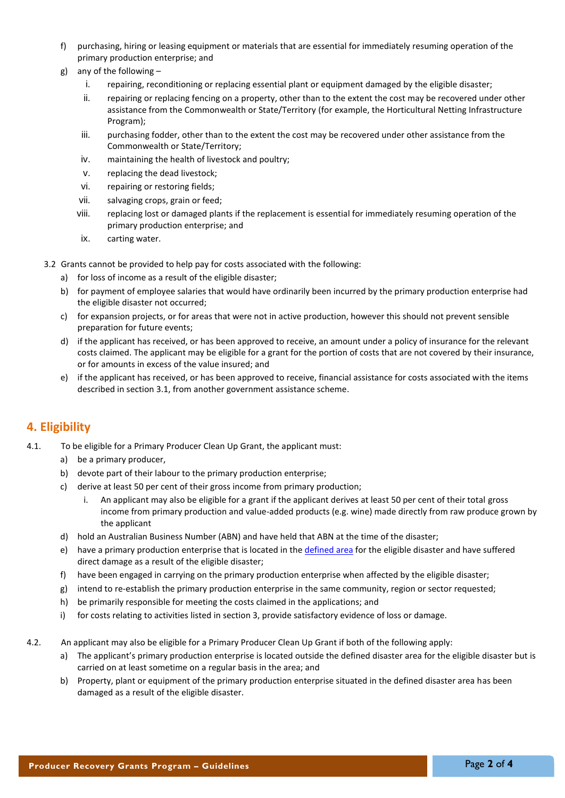- f) purchasing, hiring or leasing equipment or materials that are essential for immediately resuming operation of the primary production enterprise; and
- g) any of the following
	- i. repairing, reconditioning or replacing essential plant or equipment damaged by the eligible disaster;
	- ii. repairing or replacing fencing on a property, other than to the extent the cost may be recovered under other assistance from the Commonwealth or State/Territory (for example, the Horticultural Netting Infrastructure Program);
	- iii. purchasing fodder, other than to the extent the cost may be recovered under other assistance from the Commonwealth or State/Territory;
	- iv. maintaining the health of livestock and poultry;
	- v. replacing the dead livestock;
	- vi. repairing or restoring fields;
	- vii. salvaging crops, grain or feed;
	- viii. replacing lost or damaged plants if the replacement is essential for immediately resuming operation of the primary production enterprise; and
	- ix. carting water.
- 3.2 Grants cannot be provided to help pay for costs associated with the following:
	- a) for loss of income as a result of the eligible disaster;
	- b) for payment of employee salaries that would have ordinarily been incurred by the primary production enterprise had the eligible disaster not occurred;
	- c) for expansion projects, or for areas that were not in active production, however this should not prevent sensible preparation for future events;
	- d) if the applicant has received, or has been approved to receive, an amount under a policy of insurance for the relevant costs claimed. The applicant may be eligible for a grant for the portion of costs that are not covered by their insurance, or for amounts in excess of the value insured; and
	- e) if the applicant has received, or has been approved to receive, financial assistance for costs associated with the items described in section 3.1, from another government assistance scheme.

## **4. Eligibility**

- 4.1. To be eligible for a Primary Producer Clean Up Grant, the applicant must:
	- a) be a primary producer,
	- b) devote part of their labour to the primary production enterprise;
	- c) derive at least 50 per cent of their gross income from primary production;
		- i. An applicant may also be eligible for a grant if the applicant derives at least 50 per cent of their total gross income from primary production and value-added products (e.g. wine) made directly from raw produce grown by the applicant
	- d) hold an Australian Business Number (ABN) and have held that ABN at the time of the disaster;
	- e) have a primary production enterprise that is located in th[e defined area](https://www.disasterassist.gov.au/find-a-disaster/australian-disasters) for the eligible disaster and have suffered direct damage as a result of the eligible disaster;
	- f) have been engaged in carrying on the primary production enterprise when affected by the eligible disaster;
	- g) intend to re-establish the primary production enterprise in the same community, region or sector requested;
	- h) be primarily responsible for meeting the costs claimed in the applications; and
	- i) for costs relating to activities listed in section 3, provide satisfactory evidence of loss or damage.
- 4.2. An applicant may also be eligible for a Primary Producer Clean Up Grant if both of the following apply:
	- a) The applicant's primary production enterprise is located outside the defined disaster area for the eligible disaster but is carried on at least sometime on a regular basis in the area; and
	- b) Property, plant or equipment of the primary production enterprise situated in the defined disaster area has been damaged as a result of the eligible disaster.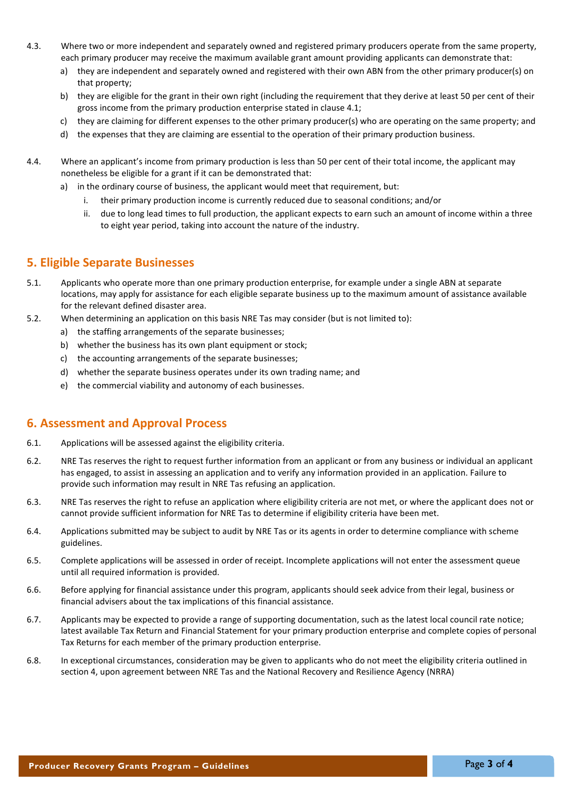- 4.3. Where two or more independent and separately owned and registered primary producers operate from the same property, each primary producer may receive the maximum available grant amount providing applicants can demonstrate that:
	- a) they are independent and separately owned and registered with their own ABN from the other primary producer(s) on that property;
	- b) they are eligible for the grant in their own right (including the requirement that they derive at least 50 per cent of their gross income from the primary production enterprise stated in clause 4.1;
	- c) they are claiming for different expenses to the other primary producer(s) who are operating on the same property; and
	- d) the expenses that they are claiming are essential to the operation of their primary production business.
- 4.4. Where an applicant's income from primary production is less than 50 per cent of their total income, the applicant may nonetheless be eligible for a grant if it can be demonstrated that:
	- a) in the ordinary course of business, the applicant would meet that requirement, but:
		- i. their primary production income is currently reduced due to seasonal conditions; and/or
		- ii. due to long lead times to full production, the applicant expects to earn such an amount of income within a three to eight year period, taking into account the nature of the industry.

#### **5. Eligible Separate Businesses**

- 5.1. Applicants who operate more than one primary production enterprise, for example under a single ABN at separate locations, may apply for assistance for each eligible separate business up to the maximum amount of assistance available for the relevant defined disaster area.
- 5.2. When determining an application on this basis NRE Tas may consider (but is not limited to):
	- a) the staffing arrangements of the separate businesses;
	- b) whether the business has its own plant equipment or stock;
	- c) the accounting arrangements of the separate businesses;
	- d) whether the separate business operates under its own trading name; and
	- e) the commercial viability and autonomy of each businesses.

#### **6. Assessment and Approval Process**

- 6.1. Applications will be assessed against the eligibility criteria.
- 6.2. NRE Tas reserves the right to request further information from an applicant or from any business or individual an applicant has engaged, to assist in assessing an application and to verify any information provided in an application. Failure to provide such information may result in NRE Tas refusing an application.
- 6.3. NRE Tas reserves the right to refuse an application where eligibility criteria are not met, or where the applicant does not or cannot provide sufficient information for NRE Tas to determine if eligibility criteria have been met.
- 6.4. Applications submitted may be subject to audit by NRE Tas or its agents in order to determine compliance with scheme guidelines.
- 6.5. Complete applications will be assessed in order of receipt. Incomplete applications will not enter the assessment queue until all required information is provided.
- 6.6. Before applying for financial assistance under this program, applicants should seek advice from their legal, business or financial advisers about the tax implications of this financial assistance.
- 6.7. Applicants may be expected to provide a range of supporting documentation, such as the latest local council rate notice; latest available Tax Return and Financial Statement for your primary production enterprise and complete copies of personal Tax Returns for each member of the primary production enterprise.
- 6.8. In exceptional circumstances, consideration may be given to applicants who do not meet the eligibility criteria outlined in section 4, upon agreement between NRE Tas and the National Recovery and Resilience Agency (NRRA)